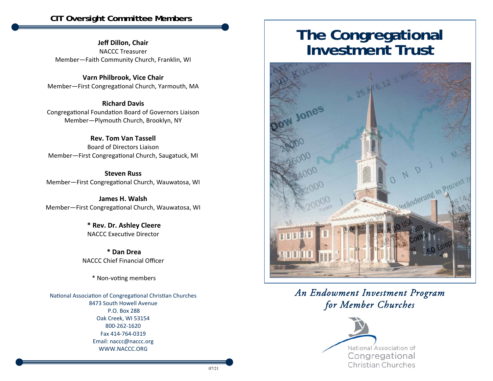**Jeff Dillon, Chair**  NACCC Treasurer Member—Faith Community Church, Franklin, WI

**Varn Philbrook, Vice Chair**  Member-First Congregational Church, Yarmouth, MA

**Richard Davis** Congregational Foundation Board of Governors Liaison Member—Plymouth Church, Brooklyn, NY

**Rev. Tom Van Tassell** Board of Directors LiaisonMember-First Congregational Church, Saugatuck, MI

**Steven Russ**Member-First Congregational Church, Wauwatosa, WI

**James H. Walsh** Member-First Congregational Church, Wauwatosa, WI

> **\* Rev. Dr. Ashley Cleere**  NACCC Executive Director

 **\* Dan Drea** NACCC Chief Financial Officer

\* Non‐voƟng members

National Association of Congregational Christian Churches 8473 South Howell Avenue P.O. Box 288 Oak Creek, WI 53154 800‐262‐1620 Fax 414‐764‐0319 Email: naccc@naccc.org WWW.NACCC.ORG

# **The Congregational Investment Trust**



*An Endowment Investment Program for Member Churches*